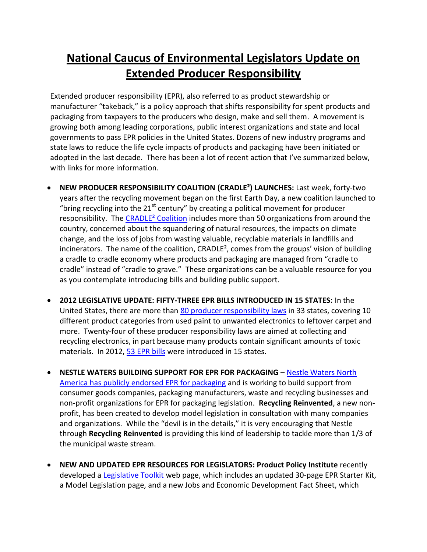## **National Caucus of Environmental Legislators Update on Extended Producer Responsibility**

Extended producer responsibility (EPR), also referred to as product stewardship or manufacturer "takeback," is a policy approach that shifts responsibility for spent products and packaging from taxpayers to the producers who design, make and sell them. A movement is growing both among leading corporations, public interest organizations and state and local governments to pass EPR policies in the United States. Dozens of new industry programs and state laws to reduce the life cycle impacts of products and packaging have been initiated or adopted in the last decade. There has been a lot of recent action that I've summarized below, with links for more information.

- **NEW PRODUCER RESPONSIBILITY COALITION (CRADLE²) LAUNCHES:** Last week, forty-two years after the recycling movement began on the first Earth Day, a new coalition launched to "bring recycling into the  $21<sup>st</sup>$  century" by creating a political movement for producer responsibility. The CRADLE<sup>2</sup> Coalition includes more than 50 organizations from around the country, concerned about the squandering of natural resources, the impacts on climate change, and the loss of jobs from wasting valuable, recyclable materials in landfills and incinerators. The name of the coalition, CRADLE<sup>2</sup>, comes from the groups' vision of building a cradle to cradle economy where products and packaging are managed from "cradle to cradle" instead of "cradle to grave." These organizations can be a valuable resource for you as you contemplate introducing bills and building public support.
- **2012 LEGISLATIVE UPDATE: FIFTY-THREE EPR BILLS INTRODUCED IN 15 STATES:** In the United States, there are more than [80 producer responsibility laws](http://www.productstewardship.us/displaycommon.cfm?an=1&subarticlenbr=280) in 33 states, covering 10 different product categories from used paint to unwanted electronics to leftover carpet and more. Twenty-four of these producer responsibility laws are aimed at collecting and recycling electronics, in part because many products contain significant amounts of toxic materials. In 2012, 53 [EPR bills](http://productstewardship.us/associations/6596/files/PSActiveLegislation2012.cfm) were introduced in 15 states.
- **NESTLE WATERS BUILDING SUPPORT FOR EPR FOR PACKAGING Nestle Waters North** [America has publicly endorsed EPR for packaging](http://resource-recycling.com/node/2531?goback=.gde_3353699_member_97263026) and is working to build support from consumer goods companies, packaging manufacturers, waste and recycling businesses and non-profit organizations for EPR for packaging legislation. **Recycling Reinvented**, a new nonprofit, has been created to develop model legislation in consultation with many companies and organizations. While the "devil is in the details," it is very encouraging that Nestle through **Recycling Reinvented** is providing this kind of leadership to tackle more than 1/3 of the municipal waste stream.
- **NEW AND UPDATED EPR RESOURCES FOR LEGISLATORS: Product Policy Institute** recently developed a [Legislative Toolkit](http://www.productpolicy.org/content/toolkit-state-legislative-advocates) web page, which includes an updated 30-page EPR Starter Kit, a Model Legislation page, and a new Jobs and Economic Development Fact Sheet, which